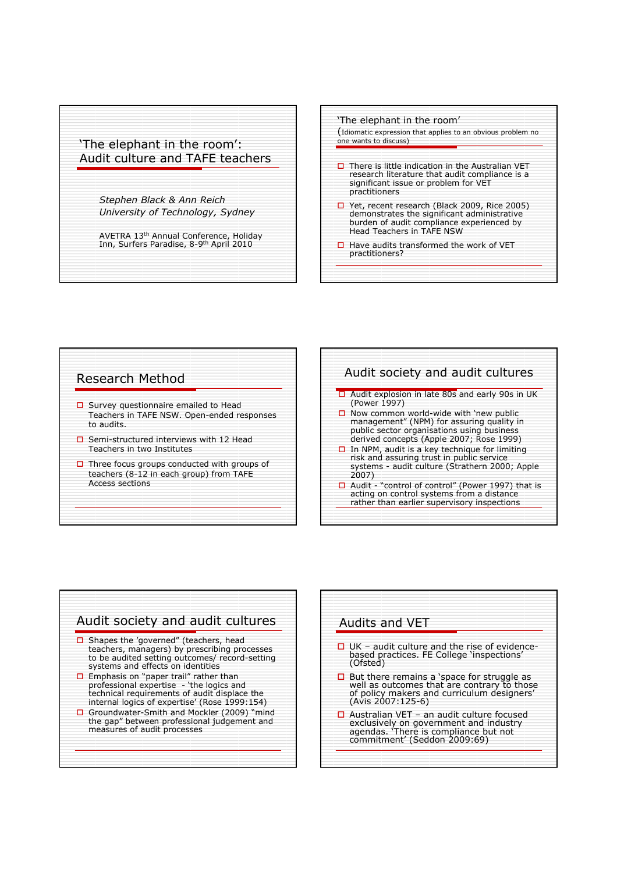